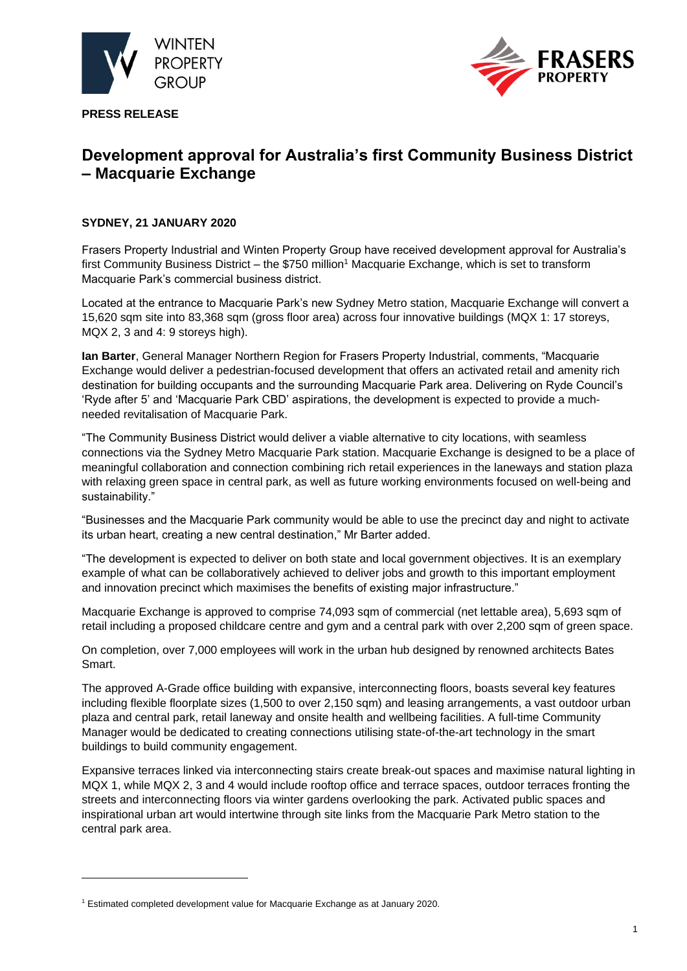

**PRESS RELEASE**



# **Development approval for Australia's first Community Business District – Macquarie Exchange**

# **SYDNEY, 21 JANUARY 2020**

Frasers Property Industrial and Winten Property Group have received development approval for Australia's first Community Business District – the \$750 million<sup>1</sup> Macquarie Exchange, which is set to transform Macquarie Park's commercial business district.

Located at the entrance to Macquarie Park's new Sydney Metro station, Macquarie Exchange will convert a 15,620 sqm site into 83,368 sqm (gross floor area) across four innovative buildings (MQX 1: 17 storeys, MQX 2, 3 and 4: 9 storeys high).

**Ian Barter**, General Manager Northern Region for Frasers Property Industrial, comments, "Macquarie Exchange would deliver a pedestrian-focused development that offers an activated retail and amenity rich destination for building occupants and the surrounding Macquarie Park area. Delivering on Ryde Council's 'Ryde after 5' and 'Macquarie Park CBD' aspirations, the development is expected to provide a muchneeded revitalisation of Macquarie Park.

"The Community Business District would deliver a viable alternative to city locations, with seamless connections via the Sydney Metro Macquarie Park station. Macquarie Exchange is designed to be a place of meaningful collaboration and connection combining rich retail experiences in the laneways and station plaza with relaxing green space in central park, as well as future working environments focused on well-being and sustainability."

"Businesses and the Macquarie Park community would be able to use the precinct day and night to activate its urban heart, creating a new central destination," Mr Barter added.

"The development is expected to deliver on both state and local government objectives. It is an exemplary example of what can be collaboratively achieved to deliver jobs and growth to this important employment and innovation precinct which maximises the benefits of existing major infrastructure."

Macquarie Exchange is approved to comprise 74,093 sqm of commercial (net lettable area), 5,693 sqm of retail including a proposed childcare centre and gym and a central park with over 2,200 sqm of green space.

On completion, over 7,000 employees will work in the urban hub designed by renowned architects Bates Smart.

The approved A-Grade office building with expansive, interconnecting floors, boasts several key features including flexible floorplate sizes (1,500 to over 2,150 sqm) and leasing arrangements, a vast outdoor urban plaza and central park, retail laneway and onsite health and wellbeing facilities. A full-time Community Manager would be dedicated to creating connections utilising state-of-the-art technology in the smart buildings to build community engagement.

Expansive terraces linked via interconnecting stairs create break-out spaces and maximise natural lighting in MQX 1, while MQX 2, 3 and 4 would include rooftop office and terrace spaces, outdoor terraces fronting the streets and interconnecting floors via winter gardens overlooking the park. Activated public spaces and inspirational urban art would intertwine through site links from the Macquarie Park Metro station to the central park area.

<sup>1</sup> Estimated completed development value for Macquarie Exchange as at January 2020.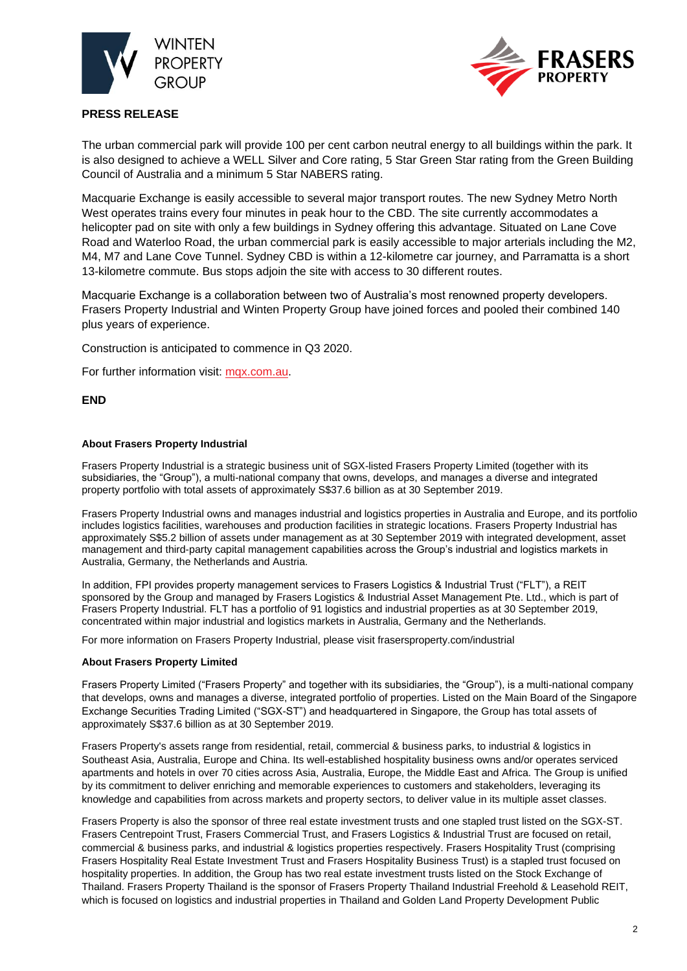



# **PRESS RELEASE**

The urban commercial park will provide 100 per cent carbon neutral energy to all buildings within the park. It is also designed to achieve a WELL Silver and Core rating, 5 Star Green Star rating from the Green Building Council of Australia and a minimum 5 Star NABERS rating.

Macquarie Exchange is easily accessible to several major transport routes. The new Sydney Metro North West operates trains every four minutes in peak hour to the CBD. The site currently accommodates a helicopter pad on site with only a few buildings in Sydney offering this advantage. Situated on Lane Cove Road and Waterloo Road, the urban commercial park is easily accessible to major arterials including the M2, M4, M7 and Lane Cove Tunnel. Sydney CBD is within a 12-kilometre car journey, and Parramatta is a short 13-kilometre commute. Bus stops adjoin the site with access to 30 different routes.

Macquarie Exchange is a collaboration between two of Australia's most renowned property developers. Frasers Property Industrial and Winten Property Group have joined forces and pooled their combined 140 plus years of experience.

Construction is anticipated to commence in Q3 2020.

For further information visit: [mqx.com.au.](https://www.mqx.com.au/)

### **END**

### **About Frasers Property Industrial**

Frasers Property Industrial is a strategic business unit of SGX-listed Frasers Property Limited (together with its subsidiaries, the "Group"), a multi-national company that owns, develops, and manages a diverse and integrated property portfolio with total assets of approximately S\$37.6 billion as at 30 September 2019.

Frasers Property Industrial owns and manages industrial and logistics properties in Australia and Europe, and its portfolio includes logistics facilities, warehouses and production facilities in strategic locations. Frasers Property Industrial has approximately S\$5.2 billion of assets under management as at 30 September 2019 with integrated development, asset management and third-party capital management capabilities across the Group's industrial and logistics markets in Australia, Germany, the Netherlands and Austria.

In addition, FPI provides property management services to Frasers Logistics & Industrial Trust ("FLT"), a REIT sponsored by the Group and managed by Frasers Logistics & Industrial Asset Management Pte. Ltd., which is part of Frasers Property Industrial. FLT has a portfolio of 91 logistics and industrial properties as at 30 September 2019, concentrated within major industrial and logistics markets in Australia, Germany and the Netherlands.

For more information on Frasers Property Industrial, please visit frasersproperty.com/industrial

#### **About Frasers Property Limited**

Frasers Property Limited ("Frasers Property" and together with its subsidiaries, the "Group"), is a multi-national company that develops, owns and manages a diverse, integrated portfolio of properties. Listed on the Main Board of the Singapore Exchange Securities Trading Limited ("SGX-ST") and headquartered in Singapore, the Group has total assets of approximately S\$37.6 billion as at 30 September 2019.

Frasers Property's assets range from residential, retail, commercial & business parks, to industrial & logistics in Southeast Asia, Australia, Europe and China. Its well-established hospitality business owns and/or operates serviced apartments and hotels in over 70 cities across Asia, Australia, Europe, the Middle East and Africa. The Group is unified by its commitment to deliver enriching and memorable experiences to customers and stakeholders, leveraging its knowledge and capabilities from across markets and property sectors, to deliver value in its multiple asset classes.

Frasers Property is also the sponsor of three real estate investment trusts and one stapled trust listed on the SGX-ST. Frasers Centrepoint Trust, Frasers Commercial Trust, and Frasers Logistics & Industrial Trust are focused on retail, commercial & business parks, and industrial & logistics properties respectively. Frasers Hospitality Trust (comprising Frasers Hospitality Real Estate Investment Trust and Frasers Hospitality Business Trust) is a stapled trust focused on hospitality properties. In addition, the Group has two real estate investment trusts listed on the Stock Exchange of Thailand. Frasers Property Thailand is the sponsor of Frasers Property Thailand Industrial Freehold & Leasehold REIT, which is focused on logistics and industrial properties in Thailand and Golden Land Property Development Public